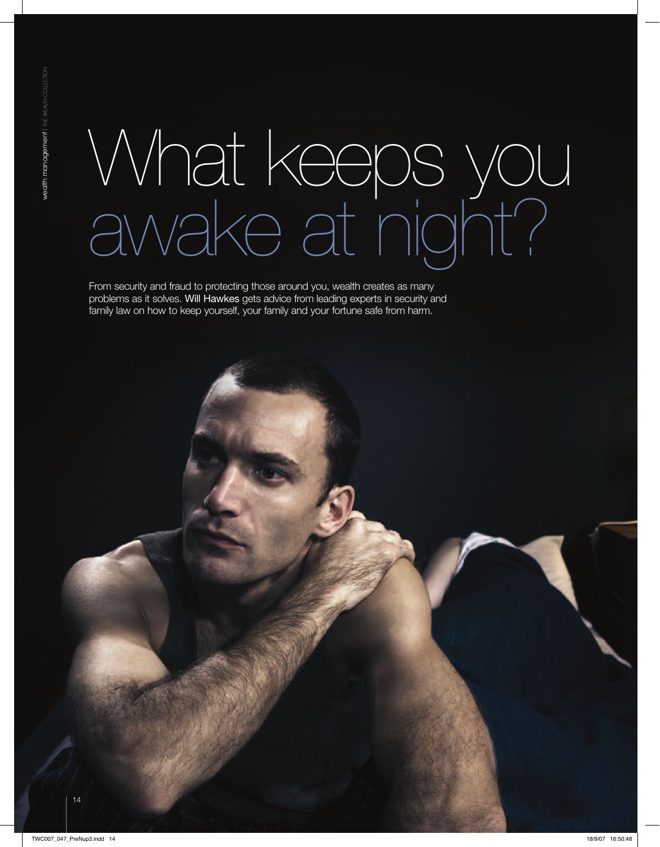# What keeps you awake at night?

From security and fraud to protecting those around you, wealth creates as many problems as it solves. Will Hawkes gets advice from leading experts in security and family law on how to keep yourself, your family and your fortune safe from harm.